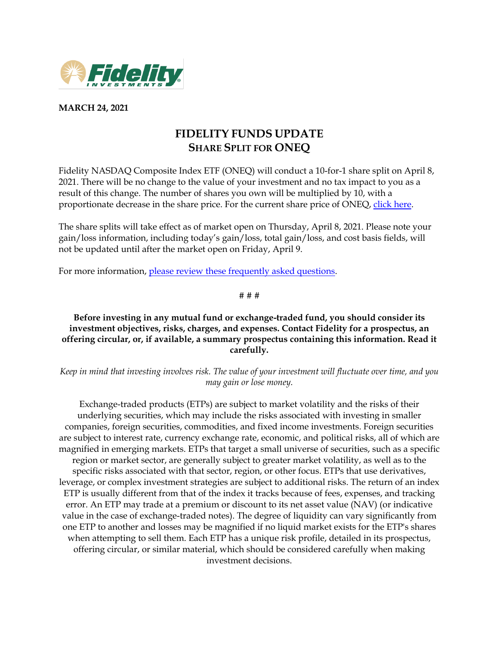

**MARCH 24, 2021**

## **FIDELITY FUNDS UPDATE SHARE SPLIT FOR ONEQ**

Fidelity NASDAQ Composite Index ETF (ONEQ) will conduct a 10-for-1 share split on April 8, 2021. There will be no change to the value of your investment and no tax impact to you as a result of this change. The number of shares you own will be multiplied by 10, with a proportionate decrease in the share price. For the current share price of ONEQ, [click here.](https://screener.fidelity.com/ftgw/etf/goto/snapshot/snapshot.jhtml?symbols=ONEQ)

The share splits will take effect as of market open on Thursday, April 8, 2021. Please note your gain/loss information, including today's gain/loss, total gain/loss, and cost basis fields, will not be updated until after the market open on Friday, April 9.

For more information, [please review these frequently asked questions.](https://www.fidelity.com/bin-public/060_www_fidelity_com/documents/oneq-split.pdf)

# # #

## **Before investing in any mutual fund or exchange-traded fund, you should consider its investment objectives, risks, charges, and expenses. Contact Fidelity for a prospectus, an offering circular, or, if available, a summary prospectus containing this information. Read it carefully.**

*Keep in mind that investing involves risk. The value of your investment will fluctuate over time, and you may gain or lose money.*

Exchange-traded products (ETPs) are subject to market volatility and the risks of their underlying securities, which may include the risks associated with investing in smaller companies, foreign securities, commodities, and fixed income investments. Foreign securities are subject to interest rate, currency exchange rate, economic, and political risks, all of which are magnified in emerging markets. ETPs that target a small universe of securities, such as a specific region or market sector, are generally subject to greater market volatility, as well as to the specific risks associated with that sector, region, or other focus. ETPs that use derivatives, leverage, or complex investment strategies are subject to additional risks. The return of an index ETP is usually different from that of the index it tracks because of fees, expenses, and tracking error. An ETP may trade at a premium or discount to its net asset value (NAV) (or indicative value in the case of exchange-traded notes). The degree of liquidity can vary significantly from one ETP to another and losses may be magnified if no liquid market exists for the ETP's shares when attempting to sell them. Each ETP has a unique risk profile, detailed in its prospectus, offering circular, or similar material, which should be considered carefully when making investment decisions.